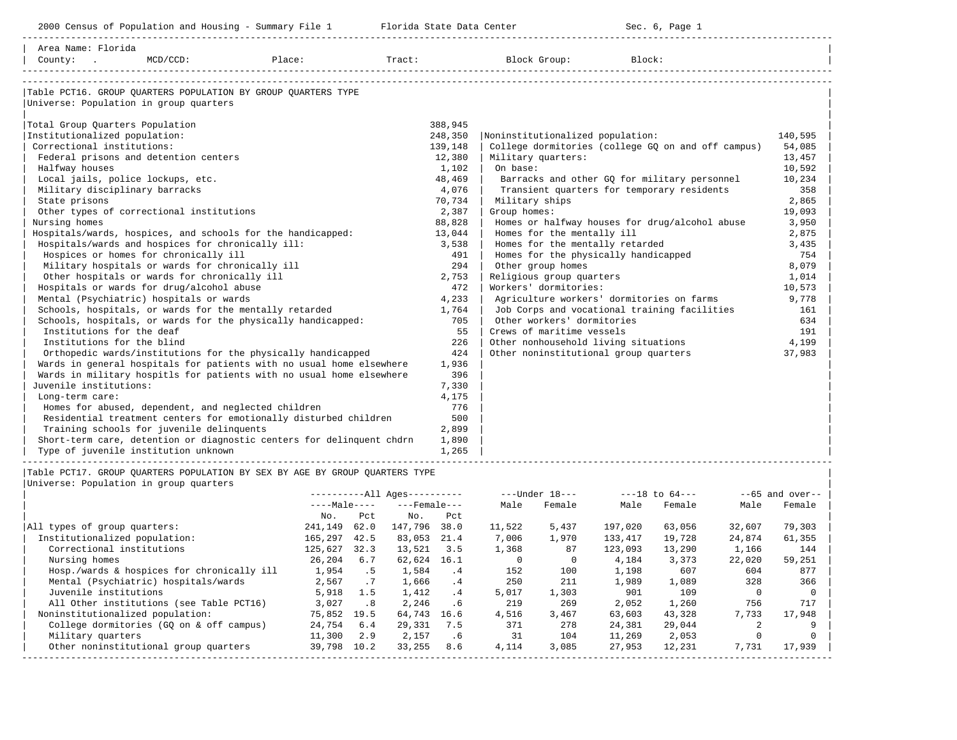| 2000 Census of Population and Housing - Summary File 1 Florida State Data Center                                                                                                                                                                                                                                                                                                                           |                                                                 | Sec. 6, Page 1                                                                                                                                                                                                                                  |                                                             |
|------------------------------------------------------------------------------------------------------------------------------------------------------------------------------------------------------------------------------------------------------------------------------------------------------------------------------------------------------------------------------------------------------------|-----------------------------------------------------------------|-------------------------------------------------------------------------------------------------------------------------------------------------------------------------------------------------------------------------------------------------|-------------------------------------------------------------|
| Area Name: Florida<br>County: .<br>MCD/CCD: Place:                                                                                                                                                                                                                                                                                                                                                         |                                                                 | Tract: Block Group: Block:                                                                                                                                                                                                                      |                                                             |
| Table PCT16. GROUP OUARTERS POPULATION BY GROUP OUARTERS TYPE<br>Universe: Population in group quarters<br>Total Group Quarters Population<br>Institutionalized population:<br>Correctional institutions:<br>Federal prisons and detention centers<br>Halfway houses                                                                                                                                       | 388,945<br>248,350<br>139,148<br>12,380<br>1,102                | Noninstitutionalized population:<br>College dormitories (college GQ on and off campus)<br>Military quarters:<br>On base:                                                                                                                        | 140,595<br>54,085<br>13,457<br>10,592                       |
| Local jails, police lockups, etc.<br>Military disciplinary barracks<br>State prisons<br>Other types of correctional institutions<br>Nursing homes<br>Hospitals/wards, hospices, and schools for the handicapped:<br>Hospitals/wards and hospices for chronically ill:                                                                                                                                      | 48,469<br>4,076<br>70,734<br>2,387<br>88,828<br>13,044<br>3,538 | Barracks and other GQ for military personnel<br>Transient quarters for temporary residents<br>Military ships<br>Group homes:<br>Homes or halfway houses for drug/alcohol abuse<br>Homes for the mentally ill<br>Homes for the mentally retarded | 10,234<br>358<br>2,865<br>19,093<br>3,950<br>2,875<br>3,435 |
| Hospices or homes for chronically ill<br>Military hospitals or wards for chronically ill<br>Other hospitals or wards for chronically ill<br>Hospitals or wards for drug/alcohol abuse<br>Mental (Psychiatric) hospitals or wards<br>Schools, hospitals, or wards for the mentally retarded                                                                                                                 | 491<br>294<br>2,753<br>472<br>4,233                             | Homes for the physically handicapped<br>Other group homes<br>Religious group quarters<br>Workers' dormitories:<br>Agriculture workers' dormitories on farms<br>Job Corps and vocational training facilities                                     | 754<br>8,079<br>1,014<br>10,573<br>9,778                    |
| Schools, hospitals, or wards for the physically handicapped:<br>Institutions for the deaf<br>Institutions for the blind<br>Orthopedic wards/institutions for the physically handicapped<br>Wards in general hospitals for patients with no usual home elsewhere                                                                                                                                            | 1,764<br>705<br>55<br>226<br>424<br>1,936                       | Other workers' dormitories<br>Crews of maritime vessels<br>Other nonhousehold living situations<br>Other noninstitutional group quarters                                                                                                        | 161<br>634<br>191<br>4,199<br>37,983                        |
| Wards in military hospitls for patients with no usual home elsewhere<br>Juvenile institutions:<br>Long-term care:<br>Homes for abused, dependent, and neglected children<br>Residential treatment centers for emotionally disturbed children<br>Training schools for juvenile delinquents<br>Short-term care, detention or diagnostic centers for delinquent chdrn<br>Type of juvenile institution unknown | 396<br>7,330<br>4,175<br>776<br>500<br>2,899<br>1,890<br>1,265  |                                                                                                                                                                                                                                                 |                                                             |

|Table PCT17. GROUP QUARTERS POPULATION BY SEX BY AGE BY GROUP QUARTERS TYPE |

|Universe: Population in group quarters |

|                                            |              |      | $--All$ Ages---------- |      |        | $---Under 18---$ |         | $---18$ to $64---$ |                | $--65$ and over-- |
|--------------------------------------------|--------------|------|------------------------|------|--------|------------------|---------|--------------------|----------------|-------------------|
|                                            | $---Male---$ |      | $---$ Female $---$     |      | Male   | Female           | Male    | Female             | Male           | Female            |
|                                            | No.          | Pct  | No.                    | Pct  |        |                  |         |                    |                |                   |
| All types of group quarters:               | 241,149      | 62.0 | 147,796                | 38.0 | 11,522 | 5,437            | 197,020 | 63,056             | 32,607         | 79,303            |
| Institutionalized population:              | 165,297      | 42.5 | 83,053                 | 21.4 | 7,006  | 1,970            | 133,417 | 19,728             | 24,874         | 61,355            |
| Correctional institutions                  | 125,627      | 32.3 | 13,521                 | 3.5  | 1,368  | 87               | 123,093 | 13,290             | 1,166          | 144               |
| Nursing homes                              | 26,204       | 6.7  | 62,624                 | 16.1 |        |                  | 4,184   | 3,373              | 22,020         | 59,251            |
| Hosp./wards & hospices for chronically ill | 1,954        | .5   | 1,584                  | .4   | 152    | 100              | 1,198   | 607                | 604            | 877               |
| Mental (Psychiatric) hospitals/wards       | 2,567        | .7   | 1,666                  | .4   | 250    | 211              | 1,989   | 1,089              | 328            | 366               |
| Juvenile institutions                      | 5,918        | 1.5  | 1,412                  | .4   | 5,017  | 1,303            | 901     | 109                | $\Omega$       |                   |
| All Other institutions (see Table PCT16)   | 3,027        | .8   | 2,246                  | .6   | 219    | 269              | 2,052   | 1,260              | 756            | 717               |
| Noninstitutionalized population:           | 75,852       | 19.5 | 64,743                 | 16.6 | 4,516  | 3,467            | 63,603  | 43,328             | 7,733          | 17,948            |
| College dormitories (GO on & off campus)   | 24,754       | 6.4  | 29,331                 | 7.5  | 371    | 278              | 24,381  | 29,044             | $\mathfrak{D}$ |                   |
| Military quarters                          | 11,300       | 2.9  | 2,157                  | .6   | 31     | 104              | 11,269  | 2,053              |                |                   |
| Other noninstitutional group quarters      | 39,798       | 10.2 | 33,255                 | 8.6  | 4,114  | 3,085            | 27,953  | 12,231             | 7,731          | 17,939            |
|                                            |              |      |                        |      |        |                  |         |                    |                |                   |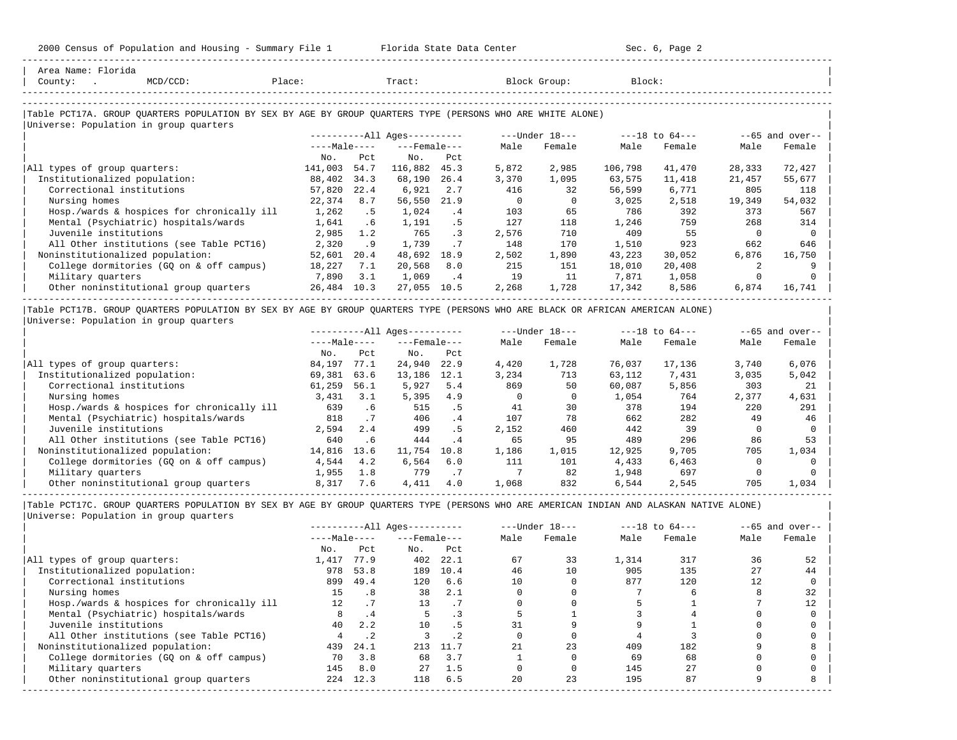-----------------------------------------------------------------------------------------------------------------------------------------------------

| $MCD/CCD$ :<br>County:<br>$\sim$                                                                           | Place:       |         | Tract:                 |           |          | Block Group:   | Block:  |                    |          |                   |  |
|------------------------------------------------------------------------------------------------------------|--------------|---------|------------------------|-----------|----------|----------------|---------|--------------------|----------|-------------------|--|
| Table PCT17A. GROUP QUARTERS POPULATION BY SEX BY AGE BY GROUP QUARTERS TYPE (PERSONS WHO ARE WHITE ALONE) |              |         |                        |           |          |                |         |                    |          |                   |  |
| Universe: Population in group quarters                                                                     |              |         |                        |           |          |                |         |                    |          |                   |  |
|                                                                                                            |              |         | $------All Aqes------$ |           |          | ---Under 18--- |         | $---18$ to $64---$ |          | $--65$ and over-- |  |
|                                                                                                            | $---Male---$ |         | $---$ Female $---$     |           | Male     | Female         | Male    | Female             | Male     | Female            |  |
|                                                                                                            | No.          | Pct     | No.                    | Pct       |          |                |         |                    |          |                   |  |
| All types of group quarters:                                                                               | 141,003      | 54.7    | 116,882                | 45.3      | 5,872    | 2,985          | 106,798 | 41,470             | 28,333   | 72,427            |  |
| Institutionalized population:                                                                              | 88,402       | 34.3    | 68,190                 | 26.4      | 3,370    | 1,095          | 63,575  | 11,418             | 21,457   | 55,677            |  |
| Correctional institutions                                                                                  | 57,820       | 22.4    | 6,921                  | 2.7       | 416      | 32             | 56,599  | 6,771              | 805      | 118               |  |
| Nursing homes                                                                                              | 22,374       | 8.7     | 56,550                 | 21.9      | $\Omega$ | $\Omega$       | 3,025   | 2,518              | 19,349   | 54,032            |  |
| Hosp./wards & hospices for chronically ill                                                                 | 1,262        | .5      | 1,024                  | .4        | 103      | 65             | 786     | 392                | 373      | 567               |  |
| Mental (Psychiatric) hospitals/wards                                                                       | 1,641        | $.6 \,$ | 1,191                  | .5        | 127      | 118            | 1,246   | 759                | 268      | 314               |  |
| Juvenile institutions                                                                                      | 2,985        | 1.2     | 765                    | $\cdot$ 3 | 2,576    | 710            | 409     | 55                 | $\Omega$ |                   |  |
| All Other institutions (see Table PCT16)                                                                   | 2,320        | .9      | 1,739                  | .7        | 148      | 170            | 1,510   | 923                | 662      | 646               |  |
| Noninstitutionalized population:                                                                           | 52,601       | 20.4    | 48,692                 | 18.9      | 2,502    | 1,890          | 43,223  | 30,052             | 6,876    | 16,750            |  |
| College dormitories (GQ on & off campus)                                                                   | 18,227       | 7.1     | 20,568                 | 8.0       | 215      | 151            | 18,010  | 20,408             |          |                   |  |
| Military quarters                                                                                          | 7,890        | 3.1     | 1,069                  | .4        | 19       | 11             | 7,871   | 1,058              |          |                   |  |
| Other noninstitutional group quarters                                                                      | 26,484       | 10.3    | 27,055                 | 10.5      | 2,268    | 1,728          | 17,342  | 8,586              | 6,874    | 16,741            |  |

|Universe: Population in group quarters |

|                                            | $------All Aqes------$ |      |                    |      |       | $---Under 18---$ |        | $---18$ to $64---$ |       | $--65$ and over-- $\vert$ |  |
|--------------------------------------------|------------------------|------|--------------------|------|-------|------------------|--------|--------------------|-------|---------------------------|--|
|                                            | $---Male---$           |      | $---$ Female $---$ |      | Male  | Female           | Male   | Female             | Male  | Female                    |  |
|                                            | No.                    | Pct  | No.                | Pct  |       |                  |        |                    |       |                           |  |
| All types of group quarters:               | 84,197                 | 77.1 | 24,940             | 22.9 | 4,420 | 1,728            | 76,037 | 17,136             | 3,740 | 6,076                     |  |
| Institutionalized population:              | 69,381                 | 63.6 | 13,186             | 12.1 | 3,234 | 713              | 63,112 | 7,431              | 3,035 | 5,042                     |  |
| Correctional institutions                  | 61,259                 | 56.1 | 5,927              | 5.4  | 869   | 50               | 60,087 | 5,856              | 303   | 21                        |  |
| Nursing homes                              | 3,431                  | 3.1  | 5,395              | 4.9  |       |                  | 1,054  | 764                | 2,377 | 4,631                     |  |
| Hosp./wards & hospices for chronically ill | 639                    | . 6  | 515                | . 5  | 41    | 30               | 378    | 194                | 220   | 291                       |  |
| Mental (Psychiatric) hospitals/wards       | 818                    | .7   | 406                | .4   | 107   | 78               | 662    | 282                | 49    | 46                        |  |
| Juvenile institutions                      | 2,594                  | 2.4  | 499                | .5   | 2,152 | 460              | 442    | 39                 |       |                           |  |
| All Other institutions (see Table PCT16)   | 640                    | . 6  | 444                | .4   | 65    | 95               | 489    | 296                | 86    | 53                        |  |
| Noninstitutionalized population:           | 14,816                 | 13.6 | 11,754             | 10.8 | 1,186 | 1,015            | 12,925 | 9,705              | 705   | 1,034                     |  |
| College dormitories (GO on & off campus)   | 4,544                  | 4.2  | 6,564              | 6.0  | 111   | 101              | 4,433  | 6,463              |       |                           |  |
| Military quarters                          | 1,955                  | 1.8  | 779                | .7   |       | 82               | 1,948  | 697                |       |                           |  |
| Other noninstitutional group quarters      | 8,317                  | 7.6  | 4,411              | 4.0  | 1,068 | 832              | 6,544  | 2,545              | 705   | 1,034                     |  |

|Table PCT17C. GROUP QUARTERS POPULATION BY SEX BY AGE BY GROUP QUARTERS TYPE (PERSONS WHO ARE AMERICAN INDIAN AND ALASKAN NATIVE ALONE) | |Universe: Population in group quarters |

|                                            |              | $------All Aqes------$ |                    |           |      | $---Under 18---$ |       | $---18$ to $64---$ | $--65$ and over-- |        |
|--------------------------------------------|--------------|------------------------|--------------------|-----------|------|------------------|-------|--------------------|-------------------|--------|
|                                            | $---Male---$ |                        | $---$ Female $---$ |           | Male | Female           | Male  | Female             | Male              | Female |
|                                            | No.          | Pct                    | No.                | Pct       |      |                  |       |                    |                   |        |
| All types of group quarters:               | 1,417        | 77.9                   | 402                | 22.1      | 67   | 33               | 1,314 | 317                | 36                | 52     |
| Institutionalized population:              | 978          | 53.8                   | 189                | 10.4      | 46   | 10               | 905   | 135                | 27                | 44     |
| Correctional institutions                  | 899          | 49.4                   | 120                | 6.6       | 10   |                  | 877   | 120                | 12                |        |
| Nursing homes                              | 15           | .8                     | 38                 | 2.1       |      |                  |       | h                  |                   | 32     |
| Hosp./wards & hospices for chronically ill | 12.          |                        | 13                 |           |      |                  |       |                    |                   | 12     |
| Mental (Psychiatric) hospitals/wards       |              | .4                     | 5.                 |           |      |                  |       |                    |                   |        |
| Juvenile institutions                      | 40           | 2.2                    | 10                 | . 5       | 31   |                  |       |                    |                   |        |
| All Other institutions (see Table PCT16)   |              | $\cdot$ 2              |                    | $\cdot$ 2 |      |                  |       |                    |                   |        |
| Noninstitutionalized population:           | 439          | 24.1                   | 213                | 11.7      | 21   | 23               | 409   | 182                |                   |        |
| College dormitories (GQ on & off campus)   | 70           | 3.8                    | 68                 | 3.7       |      |                  | 69    | 68                 |                   |        |
| Military quarters                          | 145          | 8.0                    | 27                 | 1.5       |      |                  | 145   | 27                 |                   |        |
| Other noninstitutional group quarters      | 224          | 12.3                   | 118                | 6.5       | 20   | 23               | 195   | 87                 |                   |        |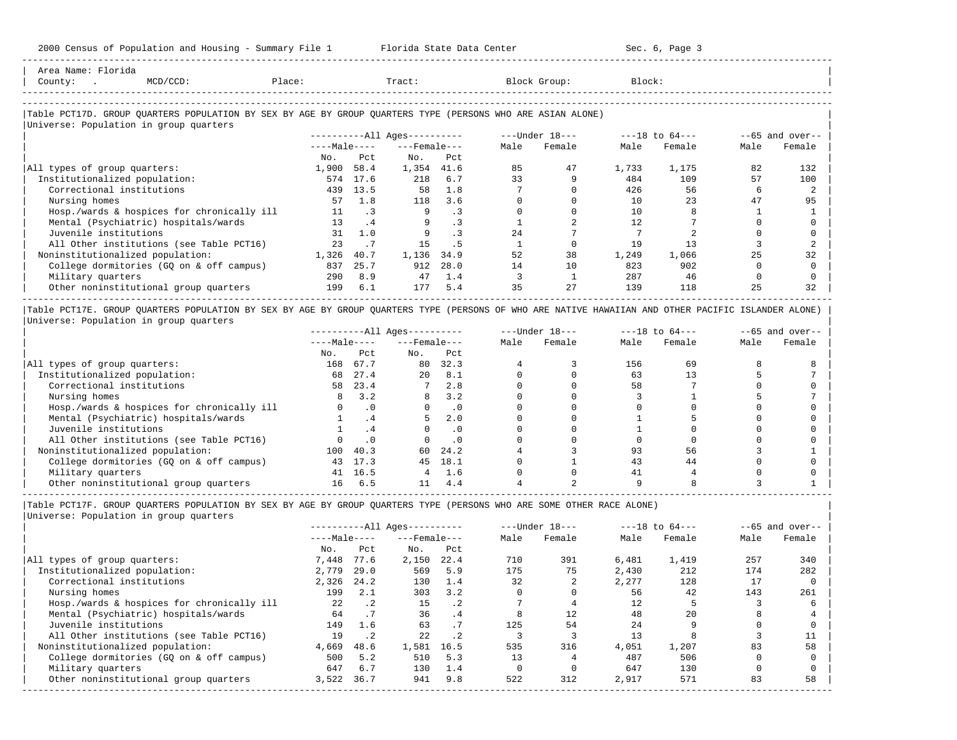| Area Name: Florida<br>Place:<br>$MCD/CCD$ :<br>County: .                                                                                                                                     |                |                      |                        |                          |              | Tract: Block Group: | Block:         |                    |          |                    |
|----------------------------------------------------------------------------------------------------------------------------------------------------------------------------------------------|----------------|----------------------|------------------------|--------------------------|--------------|---------------------|----------------|--------------------|----------|--------------------|
|                                                                                                                                                                                              |                |                      |                        |                          |              |                     |                |                    |          |                    |
| Table PCT17D. GROUP QUARTERS POPULATION BY SEX BY AGE BY GROUP QUARTERS TYPE (PERSONS WHO ARE ASIAN ALONE)                                                                                   |                |                      |                        |                          |              |                     |                |                    |          |                    |
| Universe: Population in group quarters                                                                                                                                                       |                |                      |                        |                          |              |                     |                |                    |          |                    |
|                                                                                                                                                                                              |                |                      | $------All Aqes------$ |                          |              | ---Under 18---      |                | ---18 to 64---     |          | $--65$ and over--  |
|                                                                                                                                                                                              |                | $---Ma$ $e---$       | $---$ Female $---$     |                          | Male         | Female              | Male           | Female             | Male     | Female             |
|                                                                                                                                                                                              | No.            | Pct                  | No.                    | Pct                      |              |                     |                |                    |          |                    |
| All types of group quarters:                                                                                                                                                                 | 1,900 58.4     |                      | 1,354 41.6             |                          | 85           | 47                  | 1,733          | 1,175              | 82       | 132                |
| Institutionalized population:                                                                                                                                                                |                | 574 17.6             | 218                    | 6.7                      | 33           | 9                   | 484            | 109                | 57       | 100                |
| Correctional institutions                                                                                                                                                                    |                | 439 13.5             | 58                     | 1.8                      | 7            | $\Omega$            | 426            | 56                 | 6        | $\mathcal{D}$      |
| Nursing homes                                                                                                                                                                                | 57             | 1.8                  | 118                    | 3.6                      | $\Omega$     | $\Omega$            | 10             | 23                 | 47       | 95                 |
| Hosp./wards & hospices for chronically ill                                                                                                                                                   |                | 11 .3                |                        | $\cdot$ 3                | $\mathbf 0$  | $\mathbf{0}$        | 10             | 8                  |          |                    |
| Mental (Psychiatric) hospitals/wards                                                                                                                                                         |                | .4<br>13             | 9                      | .3                       | $\mathbf{1}$ | $\overline{a}$      | 12             | 7                  | $\Omega$ |                    |
| Juvenile institutions                                                                                                                                                                        |                | 31 1.0               |                        | $9^{\circ}$<br>$\cdot$ 3 | 24           | $7^{\circ}$         | $7\phantom{0}$ | 2                  | $\Omega$ |                    |
| All Other institutions (see Table PCT16)                                                                                                                                                     | 23             | .7                   | 1.5                    | .5                       | $\mathbf{1}$ | $\Omega$            | 19             | 13                 | 3        |                    |
| Noninstitutionalized population:                                                                                                                                                             | 1,326 40.7     |                      | 1,136 34.9             |                          | 52           | 38                  | 1,249          | 1,066              | 25       | 32                 |
| College dormitories (GQ on & off campus)                                                                                                                                                     |                | 837 25.7             |                        | 912 28.0                 | 14           | 10                  | 823            | 902                | $\Omega$ |                    |
| Military quarters                                                                                                                                                                            |                | 290 8.9              |                        | 47 1.4                   | 3            | $\overline{1}$      | 287            | 46                 | $\Omega$ |                    |
| Other noninstitutional group quarters                                                                                                                                                        |                | 199 6.1              | 177                    | 5.4                      | 35           | 27                  | 139            | 118                | 25       | 32                 |
|                                                                                                                                                                                              |                |                      |                        |                          |              |                     |                |                    |          |                    |
| Table PCT17E. GROUP QUARTERS POPULATION BY SEX BY AGE BY GROUP QUARTERS TYPE (PERSONS OF WHO ARE NATIVE HAWAIIAN AND OTHER PACIFIC ISLANDER ALONE)<br>Universe: Population in group quarters |                |                      |                        |                          |              |                     |                |                    |          |                    |
|                                                                                                                                                                                              |                |                      | $------All Aqes------$ |                          |              | ---Under 18---      |                | $---18$ to $64---$ |          | $- -65$ and over-- |
|                                                                                                                                                                                              | $---Ma$ $e---$ |                      | $---$ Female $---$     |                          | Male         | Female              | Male           | Female             | Male     | Female             |
|                                                                                                                                                                                              | No.            | Pct                  | No.                    | Pct                      |              |                     |                |                    |          |                    |
| All types of group quarters:                                                                                                                                                                 |                | 168 67.7             |                        | 80 32.3                  | 4            | 3                   | 156            | 69                 |          |                    |
| Institutionalized population:                                                                                                                                                                | 68             | 27.4                 | 20                     | 8.1                      | $\Omega$     | $\Omega$            | 63             | 13                 |          |                    |
| Correctional institutions                                                                                                                                                                    |                | 58 23.4              | 7                      | 2.8                      | $\Omega$     | $\Omega$            | 58             | 7                  |          |                    |
| Nursing homes                                                                                                                                                                                |                | $8 \t3.2$            | 8                      | 3.2                      | $\Omega$     | $\Omega$            | 3              | $\mathbf{1}$       |          |                    |
| Hosp./wards & hospices for chronically ill                                                                                                                                                   |                | .0<br>$\overline{0}$ | $\cap$                 | .0                       | $\Omega$     | $\Omega$            | $\Omega$       | $\cap$             |          |                    |
| Mental (Psychiatric) hospitals/wards                                                                                                                                                         |                | .4                   | 5                      | 2.0                      | $\Omega$     | $\Omega$            |                |                    |          |                    |
| Juvenile institutions                                                                                                                                                                        |                | .4                   | $\Omega$               | $\cdot$ 0                | $\Omega$     | $\Omega$            |                | $\cap$             |          |                    |

| All Other institutions (see Table PCT16) 0 .0 0 .0 0 0 0 0 0 0 | | Noninstitutionalized population: 100 40.3 60 24.2 4 3 93 56 3 1 | | College dormitories (GQ on & off campus) 43 17.3 45 18.1 0 1 43 44 0 0 | | Military quarters 41 16.5 4 1.6 0 0 41 4 0 0 |  $\vert$  Other noninstitutional group quarters  $\vert$  16  $\vert$  6.5  $\vert$  11  $\vert$  4.4  $\vert$  4  $\vert$  2  $\vert$  9  $\vert$  8  $\vert$  3  $\vert$  1  $\vert$ -----------------------------------------------------------------------------------------------------------------------------------------------------

|Table PCT17F. GROUP QUARTERS POPULATION BY SEX BY AGE BY GROUP QUARTERS TYPE (PERSONS WHO ARE SOME OTHER RACE ALONE) | |Universe: Population in group quarters |

|                                            |              |             | $------All Aqes------$ |           |      | $---Under 18---$ |       | $---18$ to $64---$ |      | $--65$ and over-- |
|--------------------------------------------|--------------|-------------|------------------------|-----------|------|------------------|-------|--------------------|------|-------------------|
|                                            | $---Male---$ |             | $---$ Female $---$     |           | Male | Female           | Male  | Female             | Male | Female            |
|                                            | No.          | Pct         | No.                    | Pct       |      |                  |       |                    |      |                   |
| All types of group quarters:               | 7,448        | 77.6        | 2,150                  | 22.4      | 710  | 391              | 6,481 | 1,419              | 257  | 340               |
| Institutionalized population:              | 2,779        | 29.0        | 569                    | 5.9       | 175  | 75               | 2,430 | 212                | 174  | 282               |
| Correctional institutions                  | 2,326        | 24.2        | 130                    | 1.4       | 32   |                  | 2,277 | 128                | 17   |                   |
| Nursing homes                              | 199          | 2.1         | 303                    | 3.2       |      |                  | 56    | 42                 | 143  | 261               |
| Hosp./wards & hospices for chronically ill | 22           | $\cdot$ 2   | 15                     | $\cdot$ 2 |      |                  | 12    |                    |      |                   |
| Mental (Psychiatric) hospitals/wards       | 64           | .7          | 36                     | .4        |      | 12               | 48    | 20                 |      |                   |
| Juvenile institutions                      | 149          | 1.6         | 63                     | .7        | 125  | 54               | 2.4   |                    |      |                   |
| All Other institutions (see Table PCT16)   | 19           | $\cdot$ . 2 | 22                     | $\cdot$ 2 |      |                  | 13    |                    |      |                   |
| Noninstitutionalized population:           | 4,669        | 48.6        | 1,581                  | 16.5      | 535  | 316              | 4,051 | 1,207              | 83   | 58                |
| College dormitories (GO on & off campus)   | 500          | 5.2         | 510                    | 5.3       | 13   |                  | 487   | 506                |      |                   |
| Military quarters                          | 647          | 6.7         | 130                    | 1.4       |      |                  | 647   | 130                |      |                   |
| Other noninstitutional group quarters      | 3,522        | 36.7        | 941                    | 9.8       | 522  | 312              | 2,917 | 571                | 83   | 58                |
|                                            |              |             |                        |           |      |                  |       |                    |      |                   |